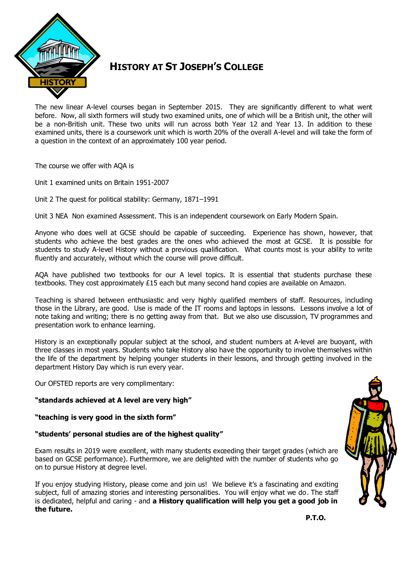

## **HISTORY AT ST JOSEPH'S COLLEGE**

The new linear A-level courses began in September 2015. They are significantly different to what went before. Now, all sixth formers will study two examined units, one of which will be a British unit, the other will be a non-British unit. These two units will run across both Year 12 and Year 13. In addition to these examined units, there is a coursework unit which is worth 20% of the overall A-level and will take the form of a question in the context of an approximately 100 year period.

The course we offer with AQA is

Unit 1 examined units on Britain 1951-2007

Unit 2 The quest for political stability: Germany, 1871–1991

Unit 3 NEA Non examined Assessment. This is an independent coursework on Early Modern Spain.

Anyone who does well at GCSE should be capable of succeeding. Experience has shown, however, that students who achieve the best grades are the ones who achieved the most at GCSE. It is possible for students to study A-level History without a previous qualification. What counts most is your ability to write fluently and accurately, without which the course will prove difficult.

AQA have published two textbooks for our A level topics. It is essential that students purchase these textbooks. They cost approximately £15 each but many second hand copies are available on Amazon.

Teaching is shared between enthusiastic and very highly qualified members of staff. Resources, including those in the Library, are good. Use is made of the IT rooms and laptops in lessons. Lessons involve a lot of note taking and writing; there is no getting away from that. But we also use discussion, TV programmes and presentation work to enhance learning.

History is an exceptionally popular subject at the school, and student numbers at A-level are buoyant, with three classes in most years. Students who take History also have the opportunity to involve themselves within the life of the department by helping younger students in their lessons, and through getting involved in the department History Day which is run every year.

Our OFSTED reports are very complimentary:

**"standards achieved at A level are very high"**

**"teaching is very good in the sixth form"**

## **"students' personal studies are of the highest quality"**

Exam results in 2019 were excellent, with many students exceeding their target grades (which are based on GCSE performance). Furthermore, we are delighted with the number of students who go on to pursue History at degree level.

If you enjoy studying History, please come and join us! We believe it's a fascinating and exciting subject, full of amazing stories and interesting personalities. You will enjoy what we do. The staff is dedicated, helpful and caring - and **a History qualification will help you get a good job in the future.**



**P.T.O. P.T.O.**